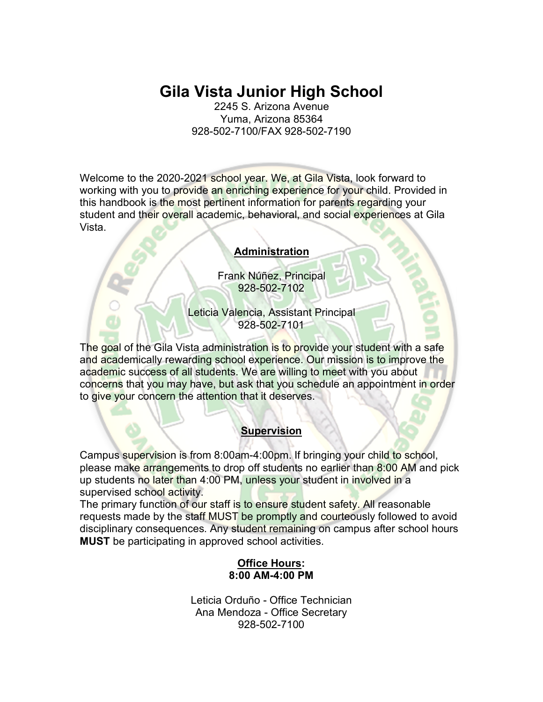# **Gila Vista Junior High School**

2245 S. Arizona Avenue Yuma, Arizona 85364 928-502-7100/FAX 928-502-7190

Welcome to the 2020-2021 school year. We, at Gila Vista, look forward to working with you to provide an enriching experience for your child. Provided in this handbook is the most pertinent information for parents regarding your student and their overall academic, behavioral, and social experiences at Gila Vista.

#### **Administration**

Frank Núñez, Principal 928-502-7102

Leticia Valencia, Assistant Principal 928-502-7101

The goal of the Gila Vista administration is to provide your student with a safe and academically rewarding school experience. Our mission is to improve the academic success of all students. We are willing to meet with you about concerns that you may have, but ask that you schedule an appointment in order to give your concern the attention that it deserves.

#### **Supervision**

Campus supervision is from 8:00am-4:00pm. If bringing your child to school, please make arrangements to drop off students no earlier than 8:00 AM and pick up students no later than 4:00 PM, unless your student in involved in a supervised school activity.

The primary function of our staff is to ensure student safety. All reasonable requests made by the staff MUST be promptly and courteously followed to avoid disciplinary consequences. Any student remaining on campus after school hours **MUST** be participating in approved school activities.

#### **Office Hours: 8:00 AM-4:00 PM**

Leticia Orduño - Office Technician Ana Mendoza - Office Secretary 928-502-7100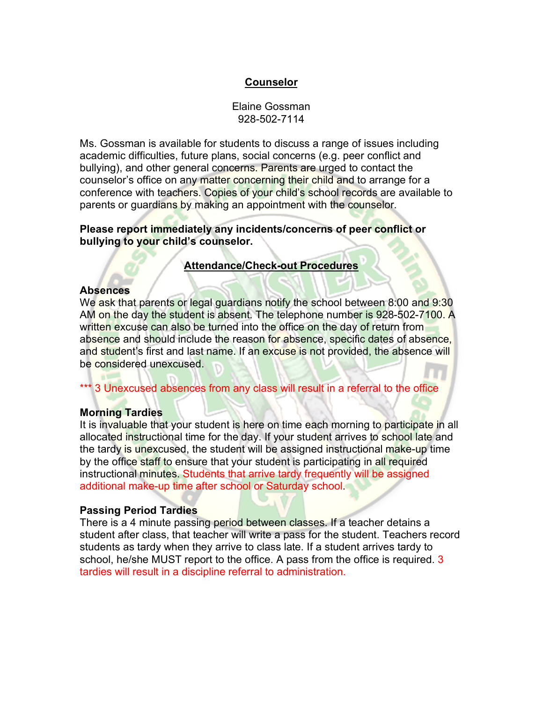## **Counselor**

Elaine Gossman 928-502-7114

Ms. Gossman is available for students to discuss a range of issues including academic difficulties, future plans, social concerns (e.g. peer conflict and bullying), and other general concerns. Parents are urged to contact the counselor's office on any matter concerning their child and to arrange for a conference with teachers. Copies of your child's school records are available to parents or guardians by making an appointment with the counselor.

#### **Please report immediately any incidents/concerns of peer conflict or bullying to your child's counselor.**

## **Attendance/Check-out Procedures**

#### **Absences**

We ask that parents or legal guardians notify the school between 8:00 and 9:30 AM on the day the student is absent. The telephone number is 928-502-7100. A written excuse can also be turned into the office on the day of return from absence and should include the reason for absence, specific dates of absence, and student's first and last name. If an excuse is not provided, the absence will be considered unexcused.

\*\*\* 3 Unexcused absences from any class will result in a referral to the office

#### **Morning Tardies**

It is invaluable that your student is here on time each morning to participate in all allocated instructional time for the day. If your student arrives to school late and the tardy is unexcused, the student will be assigned instructional make-up time by the office staff to ensure that your student is participating in all required instructional minutes. Students that arrive tardy frequently will be assigned additional make-up time after school or Saturday school.

#### **Passing Period Tardies**

There is a 4 minute passing period between classes. If a teacher detains a student after class, that teacher will write a pass for the student. Teachers record students as tardy when they arrive to class late. If a student arrives tardy to school, he/she MUST report to the office. A pass from the office is required. 3 tardies will result in a discipline referral to administration.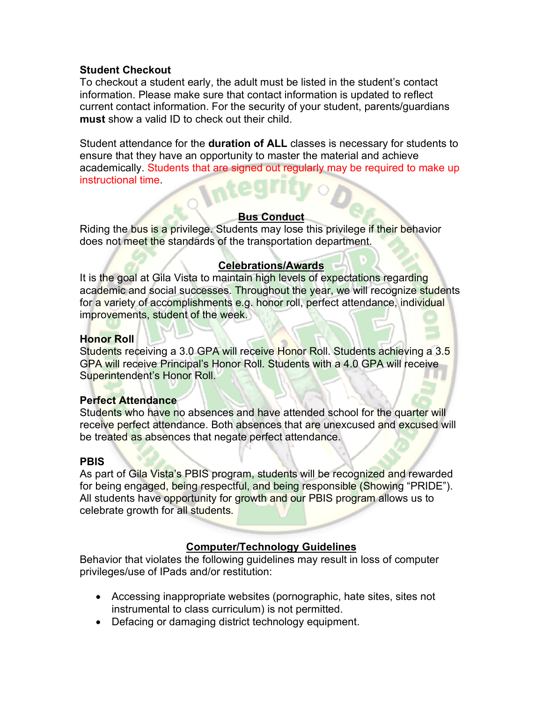## **Student Checkout**

To checkout a student early, the adult must be listed in the student's contact information. Please make sure that contact information is updated to reflect current contact information. For the security of your student, parents/guardians **must** show a valid ID to check out their child.

Student attendance for the **duration of ALL** classes is necessary for students to ensure that they have an opportunity to master the material and achieve academically. Students that are signed out regularly may be required to make up instructional time.

#### **Bus Conduct**

Riding the bus is a privilege. Students may lose this privilege if their behavior does not meet the standards of the transportation department.

## **Celebrations/Awards**

It is the goal at Gila Vista to maintain high levels of expectations regarding academic and social successes. Throughout the year, we will recognize students for a variety of accomplishments e.g. honor roll, perfect attendance, individual improvements, student of the week.

## **Honor Roll**

Students receiving a 3.0 GPA will receive Honor Roll. Students achieving a 3.5 GPA will receive Principal's Honor Roll. Students with a 4.0 GPA will receive Superintendent's Honor Roll.

## **Perfect Attendance**

Students who have no absences and have attended school for the quarter will receive perfect attendance. Both absences that are unexcused and excused will be treated as absences that negate perfect attendance.

## **PBIS**

As part of Gila Vista's PBIS program, students will be recognized and rewarded for being engaged, being respectful, and being responsible (Showing "PRIDE"). All students have opportunity for growth and our PBIS program allows us to celebrate growth for all students.

# **Computer/Technology Guidelines**

Behavior that violates the following guidelines may result in loss of computer privileges/use of IPads and/or restitution:

- Accessing inappropriate websites (pornographic, hate sites, sites not instrumental to class curriculum) is not permitted.
- Defacing or damaging district technology equipment.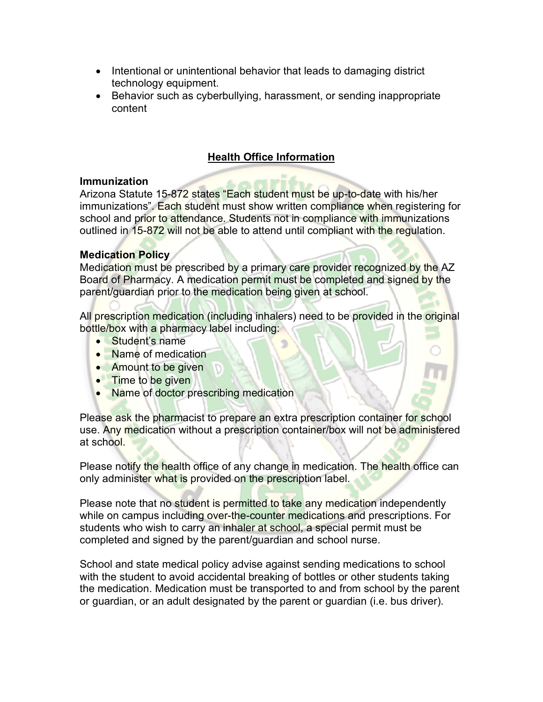- Intentional or unintentional behavior that leads to damaging district technology equipment.
- Behavior such as cyberbullying, harassment, or sending inappropriate content

# **Health Office Information**

## **Immunization**

Arizona Statute 15-872 states "Each student must be up-to-date with his/her immunizations". Each student must show written compliance when registering for school and prior to attendance. Students not in compliance with immunizations outlined in 15-872 will not be able to attend until compliant with the regulation.

## **Medication Policy**

Medication must be prescribed by a primary care provider recognized by the AZ Board of Pharmacy. A medication permit must be completed and signed by the parent/guardian prior to the medication being given at school.

All prescription medication (including inhalers) need to be provided in the original bottle/box with a pharmacy label including:

- Student's name
- Name of medication
- Amount to be given
- Time to be given
- Name of doctor prescribing medication

Please ask the pharmacist to prepare an extra prescription container for school use. Any medication without a prescription container/box will not be administered at school.

Please notify the health office of any change in medication. The health office can only administer what is provided on the prescription label.

Please note that no student is permitted to take any medication independently while on campus including over-the-counter medications and prescriptions. For students who wish to carry an inhaler at school, a special permit must be completed and signed by the parent/guardian and school nurse.

School and state medical policy advise against sending medications to school with the student to avoid accidental breaking of bottles or other students taking the medication. Medication must be transported to and from school by the parent or guardian, or an adult designated by the parent or guardian (i.e. bus driver).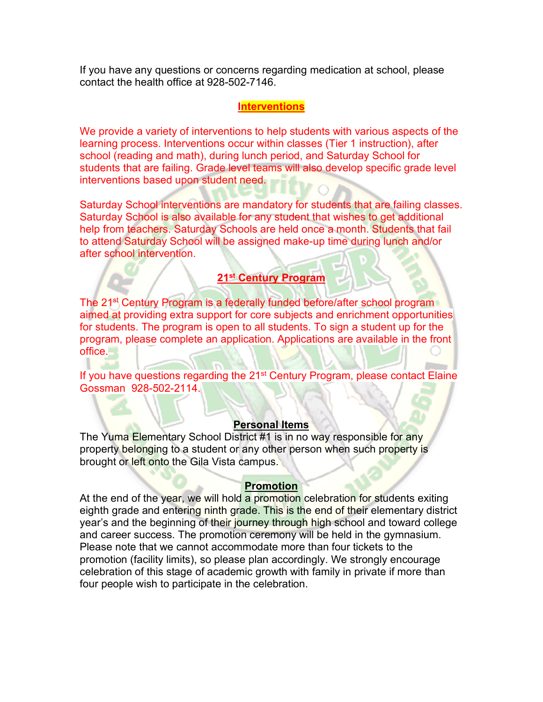If you have any questions or concerns regarding medication at school, please contact the health office at 928-502-7146.

#### **Interventions**

We provide a variety of interventions to help students with various aspects of the learning process. Interventions occur within classes (Tier 1 instruction), after school (reading and math), during lunch period, and Saturday School for students that are failing. Grade level teams will also develop specific grade level interventions based upon student need.

Saturday School interventions are mandatory for students that are failing classes. Saturday School is also available for any student that wishes to get additional help from teachers. Saturday Schools are held once a month. Students that fail to attend Saturday School will be assigned make-up time during lunch and/or after school intervention.

## **21st Century Program**

The 21<sup>st</sup> Century Program is a federally funded before/after school program aimed at providing extra support for core subjects and enrichment opportunities for students. The program is open to all students. To sign a student up for the program, please complete an application. Applications are available in the front office.

If you have questions regarding the 21<sup>st</sup> Century Program, please contact Elaine Gossman 928-502-2114.

#### **Personal Items**

The Yuma Elementary School District #1 is in no way responsible for any property belonging to a student or any other person when such property is brought or left onto the Gila Vista campus.

السكت

#### **Promotion**

At the end of the year, we will hold a promotion celebration for students exiting eighth grade and entering ninth grade. This is the end of their elementary district year's and the beginning of their journey through high school and toward college and career success. The promotion ceremony will be held in the gymnasium. Please note that we cannot accommodate more than four tickets to the promotion (facility limits), so please plan accordingly. We strongly encourage celebration of this stage of academic growth with family in private if more than four people wish to participate in the celebration.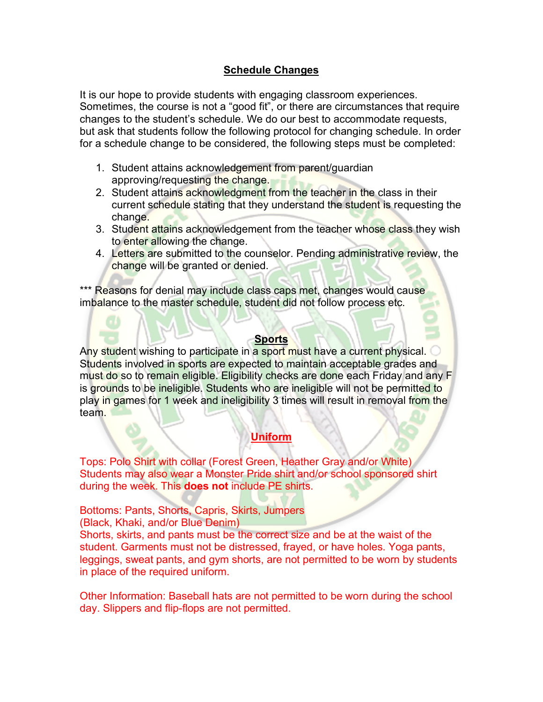## **Schedule Changes**

It is our hope to provide students with engaging classroom experiences. Sometimes, the course is not a "good fit", or there are circumstances that require changes to the student's schedule. We do our best to accommodate requests, but ask that students follow the following protocol for changing schedule. In order for a schedule change to be considered, the following steps must be completed:

- 1. Student attains acknowledgement from parent/guardian approving/requesting the change.
- 2. Student attains acknowledgment from the teacher in the class in their current schedule stating that they understand the student is requesting the change.
- 3. Student attains acknowledgement from the teacher whose class they wish to enter allowing the change.
- 4. Letters are submitted to the counselor. Pending administrative review, the change will be granted or denied.

\*\*\* Reasons for denial may include class caps met, changes would cause imbalance to the master schedule, student did not follow process etc.

#### **Sports**

Any student wishing to participate in a sport must have a current physical. Students involved in sports are expected to maintain acceptable grades and must do so to remain eligible. Eligibility checks are done each Friday and any F is grounds to be ineligible. Students who are ineligible will not be permitted to play in games for 1 week and ineligibility 3 times will result in removal from the team.

# **Uniform**

Tops: Polo Shirt with collar (Forest Green, Heather Gray and/or White) Students may also wear a Monster Pride shirt and/or school sponsored shirt during the week. This **does not** include PE shirts.

Bottoms: Pants, Shorts, Capris, Skirts, Jumpers (Black, Khaki, and/or Blue Denim)

Shorts, skirts, and pants must be the correct size and be at the waist of the student. Garments must not be distressed, frayed, or have holes. Yoga pants, leggings, sweat pants, and gym shorts, are not permitted to be worn by students in place of the required uniform.

Other Information: Baseball hats are not permitted to be worn during the school day. Slippers and flip-flops are not permitted.